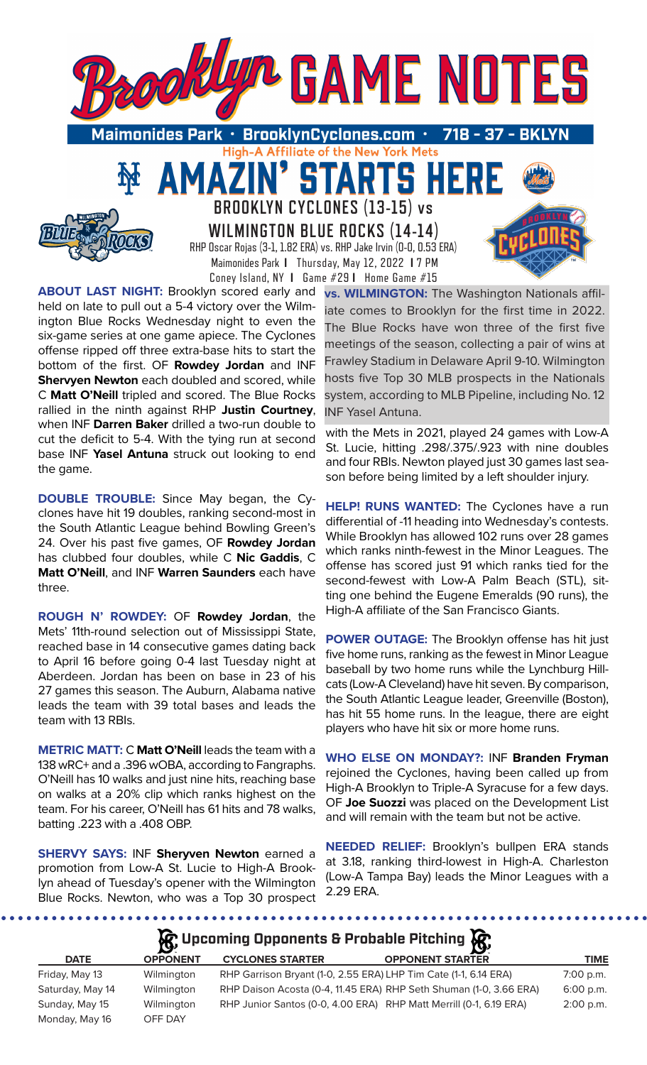

High-A Affiliate of the New York Mets

TARTS HEI

**BROOKLYN CYCLONES (13-15) vs WILMINGTON BLUE ROCKS (14-14)** RHP Oscar Rojas (3-1, 1.82 ERA) vs. RHP Jake Irvin (0-0, 0.53 ERA) Maimonides Park **I** Thursday, May 12, 2022 **I** 7 PM Coney Island, NY **I** Game #29 **I** Home Game #15

51

**ABOUT LAST NIGHT:** Brooklyn scored early and held on late to pull out a 5-4 victory over the Wilmington Blue Rocks Wednesday night to even the six-game series at one game apiece. The Cyclones offense ripped off three extra-base hits to start the bottom of the first. OF **Rowdey Jordan** and INF **Shervyen Newton** each doubled and scored, while C **Matt O'Neill** tripled and scored. The Blue Rocks rallied in the ninth against RHP **Justin Courtney**, when INF **Darren Baker** drilled a two-run double to cut the deficit to 5-4. With the tying run at second base INF **Yasel Antuna** struck out looking to end the game.

AMA

**DOUBLE TROUBLE:** Since May began, the Cyclones have hit 19 doubles, ranking second-most in the South Atlantic League behind Bowling Green's 24. Over his past five games, OF **Rowdey Jordan**  has clubbed four doubles, while C **Nic Gaddis**, C **Matt O'Neill**, and INF **Warren Saunders** each have three.

**ROUGH N' ROWDEY:** OF **Rowdey Jordan**, the Mets' 11th-round selection out of Mississippi State, reached base in 14 consecutive games dating back to April 16 before going 0-4 last Tuesday night at Aberdeen. Jordan has been on base in 23 of his 27 games this season. The Auburn, Alabama native leads the team with 39 total bases and leads the team with 13 RBIs.

**METRIC MATT:** C **Matt O'Neill** leads the team with a 138 wRC+ and a .396 wOBA, according to Fangraphs. O'Neill has 10 walks and just nine hits, reaching base on walks at a 20% clip which ranks highest on the team. For his career, O'Neill has 61 hits and 78 walks, batting .223 with a .408 OBP.

**SHERVY SAYS:** INF **Sheryven Newton** earned a promotion from Low-A St. Lucie to High-A Brooklyn ahead of Tuesday's opener with the Wilmington Blue Rocks. Newton, who was a Top 30 prospect

. . . . . . . . . . . . .

**vs. WILMINGTON:** The Washington Nationals affiliate comes to Brooklyn for the first time in 2022. The Blue Rocks have won three of the first five meetings of the season, collecting a pair of wins at Frawley Stadium in Delaware April 9-10. Wilmington hosts five Top 30 MLB prospects in the Nationals system, according to MLB Pipeline, including No. 12 INF Yasel Antuna.

with the Mets in 2021, played 24 games with Low-A St. Lucie, hitting .298/.375/.923 with nine doubles and four RBIs. Newton played just 30 games last season before being limited by a left shoulder injury.

**HELP! RUNS WANTED:** The Cyclones have a run differential of -11 heading into Wednesday's contests. While Brooklyn has allowed 102 runs over 28 games which ranks ninth-fewest in the Minor Leagues. The offense has scored just 91 which ranks tied for the second-fewest with Low-A Palm Beach (STL), sitting one behind the Eugene Emeralds (90 runs), the High-A affiliate of the San Francisco Giants.

**POWER OUTAGE:** The Brooklyn offense has hit just five home runs, ranking as the fewest in Minor League baseball by two home runs while the Lynchburg Hillcats (Low-A Cleveland) have hit seven. By comparison, the South Atlantic League leader, Greenville (Boston), has hit 55 home runs. In the league, there are eight players who have hit six or more home runs.

**WHO ELSE ON MONDAY?:** INF **Branden Fryman**  rejoined the Cyclones, having been called up from High-A Brooklyn to Triple-A Syracuse for a few days. OF **Joe Suozzi** was placed on the Development List and will remain with the team but not be active.

**NEEDED RELIEF:** Brooklyn's bullpen ERA stands at 3.18, ranking third-lowest in High-A. Charleston (Low-A Tampa Bay) leads the Minor Leagues with a 2.29 ERA.

# **R** Upcoming Opponents & Probable Pitching

| <b>DATE</b>      | <b>OPPONENT</b> | <b>CYCLONES STARTER</b> | <b>OPPONENT STARTER</b>                                            | TIME        |
|------------------|-----------------|-------------------------|--------------------------------------------------------------------|-------------|
| Friday, May 13   | Wilmington      |                         | RHP Garrison Bryant (1-0, 2.55 ERA) LHP Tim Cate (1-1, 6.14 ERA)   | $7:00$ p.m. |
| Saturday, May 14 | Wilmington      |                         | RHP Daison Acosta (0-4, 11.45 ERA) RHP Seth Shuman (1-0, 3.66 ERA) | $6:00$ p.m. |
| Sunday, May 15   | Wilmington      |                         | RHP Junior Santos (0-0, 4.00 ERA) RHP Matt Merrill (0-1, 6.19 ERA) | $2:00$ p.m. |
| Monday, May 16   | OFF DAY         |                         |                                                                    |             |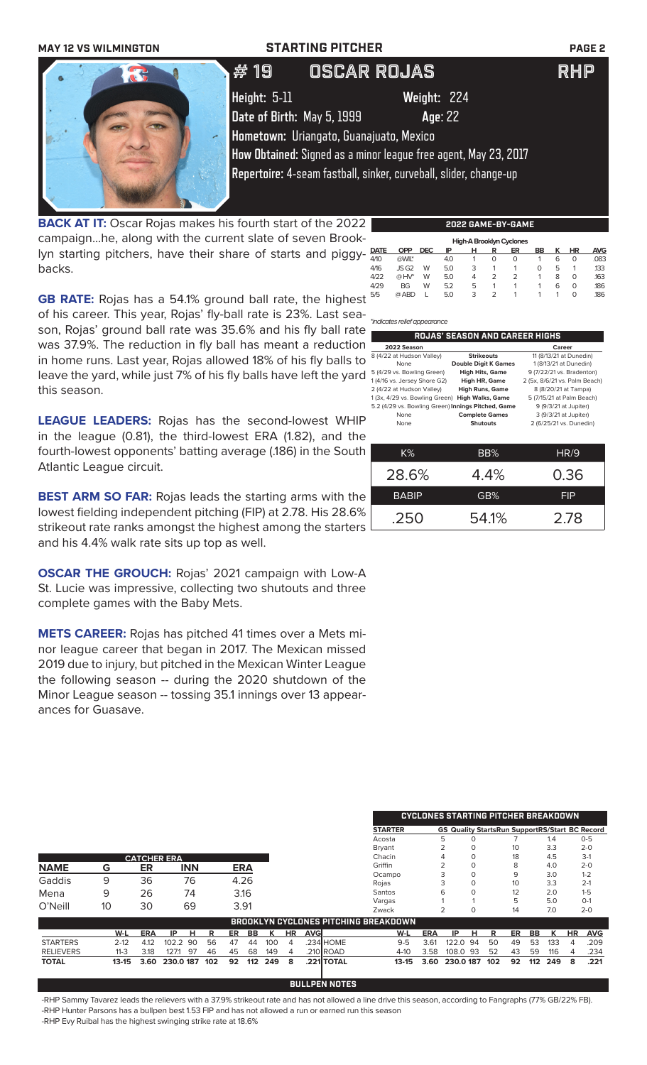

**BACK AT IT:** Oscar Rojas makes his fourth start of the 2022 campaign...he, along with the current slate of seven Brooklyn starting pitchers, have their share of starts and piggybacks.

| . . | .<br>.<br>--<br>------- |            |            |     |   |                |                          |    |   |           |            |
|-----|-------------------------|------------|------------|-----|---|----------------|--------------------------|----|---|-----------|------------|
| -   |                         |            |            |     |   |                | High-A Brooklyn Cyclones |    |   |           |            |
| -   | <b>DATE</b>             | <b>OPP</b> | <b>DEC</b> | ΙP  | н | R              | ER                       | BB | ĸ | <b>HR</b> | <b>AVG</b> |
|     | 4/10                    | @WIL*      |            | 4.0 |   | 0              | 0                        |    | 6 | 0         | .083       |
|     | 4/16                    | JSG2       | W          | 5.0 | 3 |                |                          | Ο  | 5 |           | 133        |
|     | 4/22                    | $@HV^*$    | W          | 5.0 | 4 | $\overline{2}$ | フ                        |    | 8 | 0         | .163       |
|     | 4/29                    | <b>BG</b>  | W          | 5.2 | 5 |                |                          |    | 6 | 0         | .186       |
|     | 5/5                     | @ ABD      |            | 5.0 | 3 | 2              |                          |    |   | 0         | .186       |
|     |                         |            |            |     |   |                |                          |    |   |           |            |

**GB RATE:** Rojas has a 54.1% ground ball rate, the highest of his career. This year, Rojas' fly-ball rate is 23%. Last season, Rojas' ground ball rate was 35.6% and his fly ball rate was 37.9%. The reduction in fly ball has meant a reduction in home runs. Last year, Rojas allowed 18% of his fly balls to leave the yard, while just 7% of his fly balls have left the yard this season.

**LEAGUE LEADERS:** Rojas has the second-lowest WHIP in the league (0.81), the third-lowest ERA (1.82), and the fourth-lowest opponents' batting average (.186) in the South Atlantic League circuit.

**BEST ARM SO FAR:** Rojas leads the starting arms with the lowest fielding independent pitching (FIP) at 2.78. His 28.6% strikeout rate ranks amongst the highest among the starters and his 4.4% walk rate sits up top as well.

**OSCAR THE GROUCH:** Rojas' 2021 campaign with Low-A St. Lucie was impressive, collecting two shutouts and three complete games with the Baby Mets.

**METS CAREER:** Rojas has pitched 41 times over a Mets minor league career that began in 2017. The Mexican missed 2019 due to injury, but pitched in the Mexican Winter League the following season -- during the 2020 shutdown of the Minor League season -- tossing 35.1 innings over 13 appearances for Guasave.

|                  |          |                    |             |     |    |            |     |           | <b>CYCLONES STARTING PITCHER BREAKDOWN</b> |            |                                             |            |                                                       |     |                 |     |     |    |            |
|------------------|----------|--------------------|-------------|-----|----|------------|-----|-----------|--------------------------------------------|------------|---------------------------------------------|------------|-------------------------------------------------------|-----|-----------------|-----|-----|----|------------|
|                  |          |                    |             |     |    |            |     |           |                                            |            | <b>STARTER</b>                              |            | <b>GS Quality StartsRun SupportRS/Start BC Record</b> |     |                 |     |     |    |            |
|                  |          |                    |             |     |    |            |     |           |                                            |            | Acosta                                      |            | 5                                                     |     |                 |     | 1.4 |    | $0 - 5$    |
|                  |          |                    |             |     |    |            |     |           |                                            |            | <b>Bryant</b>                               |            | $\Omega$                                              |     | 10 <sup>2</sup> |     | 3.3 |    | $2 - 0$    |
|                  |          | <b>CATCHER ERA</b> |             |     |    |            |     |           |                                            |            | Chacin                                      |            | $\Omega$                                              |     | 18              |     | 4.5 |    | $3-1$      |
| <b>NAME</b>      | G        | ER                 | <b>INN</b>  |     |    | <b>ERA</b> |     |           |                                            |            | Griffin                                     |            | $\Omega$                                              |     | 8               |     | 4.0 |    | $2 - 0$    |
| Gaddis           | 9        | 36                 | 76          |     |    | 4.26       |     |           |                                            |            | Ocampo                                      |            | $\Omega$                                              |     | 9               |     | 3.0 |    | $1 - 2$    |
|                  |          |                    |             |     |    |            |     |           |                                            |            | Rojas                                       |            | $\Omega$                                              |     | 10              |     | 3.3 |    | $2-1$      |
| Mena             | 9        | 26                 | 74          |     |    | 3.16       |     |           |                                            |            | Santos                                      |            | 6<br>$\Omega$                                         |     | 12              |     | 2.0 |    | $1 - 5$    |
| O'Neill          | 10       | 30                 | 69          |     |    | 3.91       |     |           |                                            |            | Vargas                                      |            |                                                       |     | 5               |     | 5.0 |    | $O-1$      |
|                  |          |                    |             |     |    |            |     |           |                                            |            | Zwack                                       |            | $\Omega$                                              |     | 14              |     | 7.0 |    | $2 - 0$    |
|                  |          |                    |             |     |    |            |     |           |                                            |            | <b>BROOKLYN CYCLONES PITCHING BREAKDOWN</b> |            |                                                       |     |                 |     |     |    |            |
|                  | W-L      | <b>ERA</b>         | IP<br>н     | R   | ER | BB         | к   | <b>HR</b> | <b>AVG</b>                                 |            | W-L                                         | <b>ERA</b> | IP<br>н                                               | R   | ER              | BB  | κ   | HR | <b>AVG</b> |
| <b>STARTERS</b>  | $2 - 12$ | 4.12               | 102.2<br>90 | 56  | 47 | 44         | 100 | 4         |                                            | .234 HOME  | $9 - 5$                                     | 3.61       | 122.0<br>-94                                          | 50  | 49              | 53  | 133 | 4  | .209       |
| <b>RELIEVERS</b> | $11 - 3$ | 3.18               | 127.1<br>97 | 46  | 45 | 68         | 149 | 4         |                                            | .210 ROAD  | $4 - 10$                                    | 3.58       | 108.0 93                                              | 52  | 43              | 59  | 116 | 4  | .234       |
| <b>TOTAL</b>     | $13-15$  | 3.60               | 230.0 187   | 102 | 92 | 112        | 249 | 8         |                                            | .221 TOTAL | $13 - 15$                                   | 3.60       | 230.0 187                                             | 102 | 92              | 112 | 249 | 8  | .221       |

-RHP Sammy Tavarez leads the relievers with a 37.9% strikeout rate and has not allowed a line drive this season, according to Fangraphs (77% GB/22% FB). -RHP Hunter Parsons has a bullpen best 1.53 FIP and has not allowed a run or earned run this season -RHP Evy Ruibal has the highest swinging strike rate at 18.6%

**BULLPEN NOTES**

# **2022 GAME-BY-GAME**

|   | 4/10 | (aWIL*                       |   | 4.O |                   |                |   |                                       | h      | O                       | .U8  |
|---|------|------------------------------|---|-----|-------------------|----------------|---|---------------------------------------|--------|-------------------------|------|
|   | 4/16 | JSG2                         | W | 5.0 | 3                 |                |   |                                       | 5      |                         | .133 |
|   | 4/22 | $@HV^*$                      | W | 5.0 | 4                 | $\overline{2}$ | 2 |                                       | 8      | 0                       | 163  |
|   | 4/29 | <b>BG</b>                    | W | 5.2 | 5                 |                |   |                                       | 6      | O                       | .186 |
|   | 5/5  | @ ABD                        |   | 5.0 | 3                 | $\overline{2}$ |   |                                       |        | 0                       | .186 |
|   |      | *indicates relief appearance |   |     |                   |                |   |                                       |        |                         |      |
| ∍ |      |                              |   |     |                   |                |   | <b>ROJAS' SEASON AND CAREER HIGHS</b> |        |                         |      |
| า |      | 2022 Season                  |   |     |                   |                |   |                                       | Career |                         |      |
|   |      | 8 (4/22 at Hudson Valley)    |   |     | <b>Strikeouts</b> |                |   |                                       |        | 11 (8/13/21 at Dunedin) |      |
|   |      |                              |   |     |                   |                |   |                                       |        |                         |      |

|   | None                                               | <b>Double Digit K Games</b> | 1 (8/13/21 at Dunedin)        |
|---|----------------------------------------------------|-----------------------------|-------------------------------|
|   |                                                    |                             |                               |
|   | 5 (4/29 vs. Bowling Green)                         | <b>High Hits, Game</b>      | 9 (7/22/21 vs. Bradenton)     |
|   | 1 (4/16 vs. Jersey Shore G2)                       | High HR, Game               | 2 (5x, 8/6/21 vs. Palm Beach) |
|   | 2 (4/22 at Hudson Valley)                          | <b>High Runs, Game</b>      | 8 (8/20/21 at Tampa)          |
|   | 1(3x, 4/29 vs. Bowling Green) High Walks, Game     |                             | 5 (7/15/21 at Palm Beach)     |
|   | 5.2 (4/29 vs. Bowling Green) Innings Pitched, Game |                             | 9 (9/3/21 at Jupiter)         |
|   | None                                               | <b>Complete Games</b>       | 3 (9/3/21 at Jupiter)         |
|   | None                                               | <b>Shutouts</b>             | 2 (6/25/21 vs. Dunedin)       |
|   |                                                    |                             |                               |
|   |                                                    |                             |                               |
| ۱ |                                                    |                             |                               |
|   | K%                                                 | BB%                         | HR/9                          |
|   |                                                    |                             |                               |
|   |                                                    |                             |                               |

| IN 70.       | 07 טע | l IIV J    |
|--------------|-------|------------|
| 28.6%        | 4.4%  | 0.36       |
| <b>BABIP</b> | GB%   | <b>FIP</b> |
| .250         | 54.1% | 2.78       |
|              |       |            |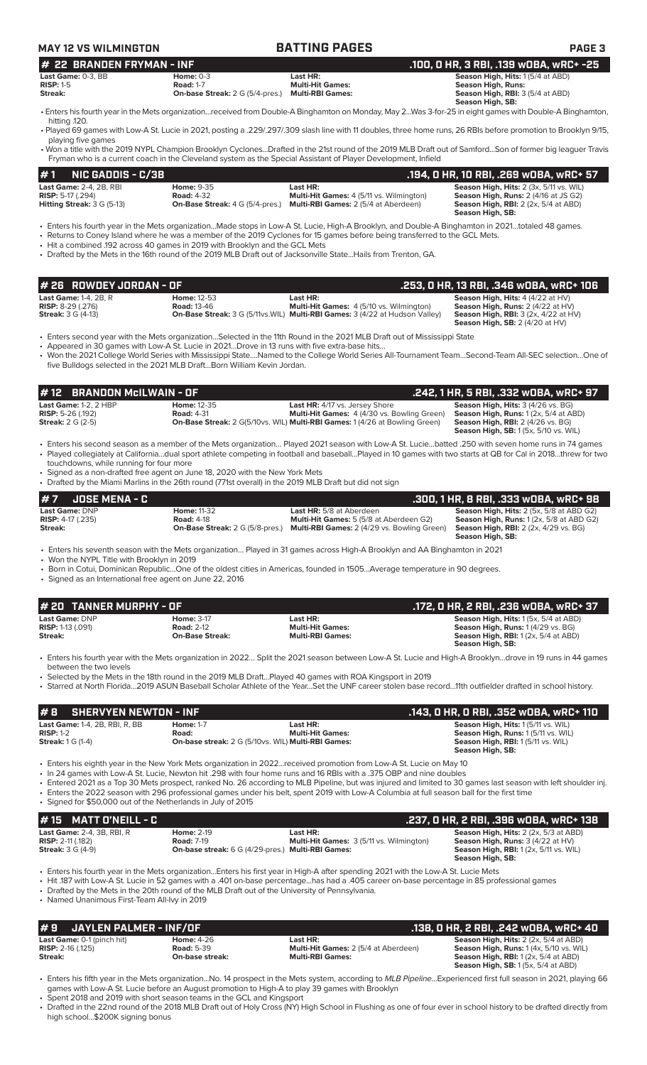| <b>MAY 12 VS WILMINGTON</b>                                                                                                                     |                                                                                             | <b>BATTING PAGES</b>                                                                                                                                                                                                                                                                                                                                                                                                                                                                                                                                        | <b>PAGE 3</b>                                                                                                                                                                                     |
|-------------------------------------------------------------------------------------------------------------------------------------------------|---------------------------------------------------------------------------------------------|-------------------------------------------------------------------------------------------------------------------------------------------------------------------------------------------------------------------------------------------------------------------------------------------------------------------------------------------------------------------------------------------------------------------------------------------------------------------------------------------------------------------------------------------------------------|---------------------------------------------------------------------------------------------------------------------------------------------------------------------------------------------------|
| <b>22 BRANDEN FRYMAN - INF</b><br>#                                                                                                             |                                                                                             |                                                                                                                                                                                                                                                                                                                                                                                                                                                                                                                                                             | .100, 0 HR, 3 RBI, .139 wOBA, wRC+ -25                                                                                                                                                            |
| Last Game: 0-3, BB<br>$RISP: 1-5$                                                                                                               | <b>Home: 0-3</b><br><b>Road: 1-7</b>                                                        | Last HR:<br><b>Multi-Hit Games:</b>                                                                                                                                                                                                                                                                                                                                                                                                                                                                                                                         | Season High, Hits: 1(5/4 at ABD)<br><b>Season High, Runs:</b>                                                                                                                                     |
| Streak:                                                                                                                                         | <b>On-base Streak:</b> 2 G (5/4-pres.) Multi-RBI Games:                                     |                                                                                                                                                                                                                                                                                                                                                                                                                                                                                                                                                             | Season High, RBI: 3 (5/4 at ABD)<br>Season High, SB:                                                                                                                                              |
| hitting .120.                                                                                                                                   |                                                                                             | • Enters his fourth year in the Mets organizationreceived from Double-A Binghamton on Monday, May 2Was 3-for-25 in eight games with Double-A Binghamton,                                                                                                                                                                                                                                                                                                                                                                                                    |                                                                                                                                                                                                   |
|                                                                                                                                                 |                                                                                             | • Played 69 games with Low-A St. Lucie in 2021, posting a .229/.297/.309 slash line with 11 doubles, three home runs, 26 RBIs before promotion to Brooklyn 9/15,                                                                                                                                                                                                                                                                                                                                                                                            |                                                                                                                                                                                                   |
| playing five games                                                                                                                              |                                                                                             | • Won a title with the 2019 NYPL Champion Brooklyn CyclonesDrafted in the 21st round of the 2019 MLB Draft out of SamfordSon of former big leaguer Travis<br>Fryman who is a current coach in the Cleveland system as the Special Assistant of Player Development, Infield                                                                                                                                                                                                                                                                                  |                                                                                                                                                                                                   |
| #1<br><b>NIC GADDIS - C/3B</b>                                                                                                                  |                                                                                             |                                                                                                                                                                                                                                                                                                                                                                                                                                                                                                                                                             | .194, 0 HR, 10 RBI, .269 w0BA, wRC+ 57                                                                                                                                                            |
| Last Game: 2-4, 2B, RBI<br><b>RISP:</b> 5-17 (.294)<br><b>Hitting Streak:</b> $3 G (5-13)$                                                      | <b>Home: 9-35</b><br><b>Road: 4-32</b>                                                      | Last HR:<br>Multi-Hit Games: 4 (5/11 vs. Wilmington)<br><b>On-Base Streak:</b> 4 G (5/4-pres.) Multi-RBI Games: 2 (5/4 at Aberdeen)                                                                                                                                                                                                                                                                                                                                                                                                                         | Season High, Hits: 2 (3x, 5/11 vs. WIL)<br>Season High, Runs: 2 (4/16 at JS G2)<br><b>Season High, RBI:</b> 2 (2x, 5/4 at ABD)<br>Season High, SB:                                                |
| • Hit a combined .192 across 40 games in 2019 with Brooklyn and the GCL Mets                                                                    |                                                                                             | · Enters his fourth year in the Mets organizationMade stops in Low-A St. Lucie, High-A Brooklyn, and Double-A Binghamton in 2021totaled 48 games.<br>• Returns to Coney Island where he was a member of the 2019 Cyclones for 15 games before being transferred to the GCL Mets.<br>• Drafted by the Mets in the 16th round of the 2019 MLB Draft out of Jacksonville StateHails from Trenton, GA.                                                                                                                                                          |                                                                                                                                                                                                   |
| # 26 ROWDEY JORDAN - OF                                                                                                                         |                                                                                             |                                                                                                                                                                                                                                                                                                                                                                                                                                                                                                                                                             | .253, 0 HR, 13 RBI, .346 wOBA, wRC+ 106                                                                                                                                                           |
| <b>Last Game: 1-4, 2B, R</b><br><b>RISP: 8-29 (.276)</b><br><b>Streak: 3 G (4-13)</b>                                                           | <b>Home: 12-53</b><br><b>Road: 13-46</b>                                                    | Last HR:<br>Multi-Hit Games: 4 (5/10 vs. Wilmington)<br><b>On-Base Streak:</b> 3 G (5/11vs. WIL) Multi-RBI Games: 3 (4/22 at Hudson Valley)                                                                                                                                                                                                                                                                                                                                                                                                                 | Season High, Hits: 4 (4/22 at HV)<br>Season High, Runs: 2 (4/22 at HV)<br>Season High, RBI: 3 (2x, 4/22 at HV)<br><b>Season High, SB: 2 (4/20 at HV)</b>                                          |
| • Appeared in 30 games with Low-A St. Lucie in 2021Drove in 13 runs with five extra-base hits                                                   | five Bulldogs selected in the 2021 MLB DraftBorn William Kevin Jordan.                      | • Enters second year with the Mets organizationSelected in the 11th Round in the 2021 MLB Draft out of Mississippi State<br>• Won the 2021 College World Series with Mississippi StateNamed to the College World Series All-Tournament TeamSecond-Team All-SEC selectionOne of                                                                                                                                                                                                                                                                              |                                                                                                                                                                                                   |
| <b>BRANDON McILWAIN - OF</b><br># 12                                                                                                            |                                                                                             |                                                                                                                                                                                                                                                                                                                                                                                                                                                                                                                                                             | .242, 1 HR, 5 RBI, .332 wOBA, wRC+ 97                                                                                                                                                             |
| Last Game: 1-2, 2 HBP<br><b>RISP:</b> 5-26 (.192)<br><b>Streak:</b> 2 G (2-5)                                                                   | Home: 12-35<br><b>Road: 4-31</b>                                                            | Last HR: 4/17 vs. Jersey Shore<br>Multi-Hit Games: 4 (4/30 vs. Bowling Green)<br>On-Base Streak: 2 G(5/10vs. WIL) Multi-RBI Games: 1 (4/26 at Bowling Green)                                                                                                                                                                                                                                                                                                                                                                                                | Season High, Hits: 3 (4/26 vs. BG)<br>Season High, Runs: 1 (2x, 5/4 at ABD)<br><b>Season High, RBI: 2 (4/26 vs. BG)</b>                                                                           |
|                                                                                                                                                 |                                                                                             | • Enters his second season as a member of the Mets organization Played 2021 season with Low-A St. Luciebatted .250 with seven home runs in 74 games                                                                                                                                                                                                                                                                                                                                                                                                         | <b>Season High, SB: 1 (5x, 5/10 vs. WIL)</b>                                                                                                                                                      |
| touchdowns, while running for four more                                                                                                         |                                                                                             | • Played collegiately at Californiadual sport athlete competing in football and baseballPlayed in 10 games with two starts at QB for Cal in 2018threw for two                                                                                                                                                                                                                                                                                                                                                                                               |                                                                                                                                                                                                   |
| • Signed as a non-drafted free agent on June 18, 2020 with the New York Mets                                                                    |                                                                                             |                                                                                                                                                                                                                                                                                                                                                                                                                                                                                                                                                             |                                                                                                                                                                                                   |
| • Drafted by the Miami Marlins in the 26th round (771st overall) in the 2019 MLB Draft but did not sign                                         |                                                                                             |                                                                                                                                                                                                                                                                                                                                                                                                                                                                                                                                                             |                                                                                                                                                                                                   |
| #7<br><b>JOSE MENA - C</b><br><b>Last Game: DNP</b><br><b>RISP:</b> 4-17 (.235)<br>Streak:                                                      | <b>Home: 11-32</b><br><b>Road: 4-18</b>                                                     | Last HR: 5/8 at Aberdeen<br>Multi-Hit Games: 5 (5/8 at Aberdeen G2)<br><b>On-Base Streak:</b> 2 G (5/8-pres.) Multi-RBI Games: 2 (4/29 vs. Bowling Green)                                                                                                                                                                                                                                                                                                                                                                                                   | .300, 1 HR, 8 RBI, .333 wOBA, wRC+ 98<br>Season High, Hits: 2 (5x, 5/8 at ABD G2)<br>Season High, Runs: 1 (2x, 5/8 at ABD G2)<br><b>Season High, RBI:</b> 2 (2x, 4/29 vs. BG)<br>Season High, SB: |
| • Won the NYPL Title with Brooklyn in 2019<br>• Signed as an International free agent on June 22, 2016                                          |                                                                                             | • Enters his seventh season with the Mets organization Played in 31 games across High-A Brooklyn and AA Binghamton in 2021<br>• Born in Cotui, Dominican RepublicOne of the oldest cities in Americas, founded in 1505Average temperature in 90 degrees.                                                                                                                                                                                                                                                                                                    |                                                                                                                                                                                                   |
| # 20 TANNER MURPHY - OF                                                                                                                         |                                                                                             |                                                                                                                                                                                                                                                                                                                                                                                                                                                                                                                                                             | .172, 0 HR, 2 RBI, .236 w0BA, wRC+ 37                                                                                                                                                             |
| Last Game: DNP<br><b>RISP: 1-13 (.091)</b><br>Streak:                                                                                           | <b>Home: 3-17</b><br><b>Road: 2-12</b><br><b>On-Base Streak:</b>                            | Last HR:<br><b>Multi-Hit Games:</b><br><b>Multi-RBI Games:</b>                                                                                                                                                                                                                                                                                                                                                                                                                                                                                              | Season High, Hits: 1 (5x, 5/4 at ABD)<br>Season High, Runs: 1 (4/29 vs. BG)<br>Season High, RBI: 1 (2x, 5/4 at ABD)<br>Season High, SB:                                                           |
|                                                                                                                                                 |                                                                                             | Enters his fourth year with the Mets organization in 2022 Split the 2021 season between Low-A St. Lucie and High-A Brooklyndrove in 19 runs in 44 games                                                                                                                                                                                                                                                                                                                                                                                                     |                                                                                                                                                                                                   |
| between the two levels                                                                                                                          |                                                                                             | Selected by the Mets in the 18th round in the 2019 MLB DraftPlayed 40 games with ROA Kingsport in 2019<br>· Starred at North Florida2019 ASUN Baseball Scholar Athlete of the YearSet the UNF career stolen base record11th outfielder drafted in school history.                                                                                                                                                                                                                                                                                           |                                                                                                                                                                                                   |
|                                                                                                                                                 |                                                                                             |                                                                                                                                                                                                                                                                                                                                                                                                                                                                                                                                                             |                                                                                                                                                                                                   |
| #8<br><b>SHERVYEN NEWTON - INF</b>                                                                                                              |                                                                                             |                                                                                                                                                                                                                                                                                                                                                                                                                                                                                                                                                             | .143, 0 HR, 0 RBI, .352 w0BA, wRC+ 110                                                                                                                                                            |
| Last Game: 1-4, 2B, RBI, R, BB<br>$RISP: 1-2$<br><b>Streak:</b> 1 G (1-4)                                                                       | <b>Home: 1-7</b><br>Road:<br>On-base streak: 2 G (5/10vs. WIL) Multi-RBI Games:             | Last HR:<br><b>Multi-Hit Games:</b>                                                                                                                                                                                                                                                                                                                                                                                                                                                                                                                         | Season High, Hits: 1 (5/11 vs. WIL)<br>Season High, Runs: 1 (5/11 vs. WIL)<br>Season High, RBI: 1 (5/11 vs. WIL)<br>Season High, SB:                                                              |
| • Signed for \$50,000 out of the Netherlands in July of 2015                                                                                    |                                                                                             | Fiters his eighth year in the New York Mets organization in 2022received promotion from Low-A St. Lucie on May 10 •<br>. In 24 games with Low-A St. Lucie, Newton hit .298 with four home runs and 16 RBIs with a .375 OBP and nine doubles<br>• Entered 2021 as a Top 30 Mets prospect, ranked No. 26 according to MLB Pipeline, but was injured and limited to 30 games last season with left shoulder inj.<br>• Enters the 2022 season with 296 professional games under his belt, spent 2019 with Low-A Columbia at full season ball for the first time |                                                                                                                                                                                                   |
| #15<br><b>MATT O'NEILL - C</b>                                                                                                                  |                                                                                             |                                                                                                                                                                                                                                                                                                                                                                                                                                                                                                                                                             | .237, 0 HR, 2 RBI, .396 w0BA, wRC+ 138                                                                                                                                                            |
| Last Game: 2-4, 3B, RBI, R<br>RISP: 2-11 (.182)<br><b>Streak: 3 G (4-9)</b>                                                                     | <b>Home: 2-19</b><br><b>Road: 7-19</b><br>On-base streak: 6 G (4/29-pres.) Multi-RBI Games: | Last HR:<br>Multi-Hit Games: 3 (5/11 vs. Wilmington)                                                                                                                                                                                                                                                                                                                                                                                                                                                                                                        | Season High, Hits: 2 (2x, 5/3 at ABD)<br>Season High, Runs: 3 (4/22 at HV)<br>Season High, RBI: 1 (2x, 5/11 vs. WIL)<br>Season High, SB:                                                          |
| • Drafted by the Mets in the 20th round of the MLB Draft out of the University of Pennsylvania.<br>• Named Unanimous First-Team All-Ivy in 2019 |                                                                                             | • Enters his fourth year in the Mets organization…Enters his first year in High-A after spending 2021 with the Low-A St. Lucie Mets<br>. Hit 187 with Low-A St. Lucie in 52 games with a .401 on-base percentagehas had a .405 career on-base percentage in 85 professional games                                                                                                                                                                                                                                                                           |                                                                                                                                                                                                   |
| JAYLEN PALMER - INF/OF<br>#9                                                                                                                    |                                                                                             |                                                                                                                                                                                                                                                                                                                                                                                                                                                                                                                                                             | .138, 0 HR, 2 RBI, .242 w0BA, wRC+ 40                                                                                                                                                             |
| Last Game: 0-1 (pinch hit)                                                                                                                      | <b>Home: 4-26</b>                                                                           | Last HR:                                                                                                                                                                                                                                                                                                                                                                                                                                                                                                                                                    | Season High, Hits: 2 (2x, 5/4 at ABD)                                                                                                                                                             |
| <b>RISP:</b> 2-16 (.125)<br>Streak:                                                                                                             | <b>Road: 5-39</b><br>On-base streak:                                                        | Multi-Hit Games: 2 (5/4 at Aberdeen)<br><b>Multi-RBI Games:</b>                                                                                                                                                                                                                                                                                                                                                                                                                                                                                             | Season High, Runs: 1 (4x, 5/10 vs. WIL)<br>Season High, RBI: 1 (2x, 5/4 at ABD)<br><b>Season High, SB: 1(5x, 5/4 at ABD)</b>                                                                      |

• Enters his fifth year in the Mets organization...No. 14 prospect in the Mets system, according to *MLB Pipeline*...Experienced first full season in 2021, playing 66 games with Low-A St. Lucie before an August promotion to High-A to play 39 games with Brooklyn

• Spent 2018 and 2019 with short season teams in the GCL and Kingsport • Drafted in the 22nd round of the 2018 MLB Draft out of Holy Cross (NY) High School in Flushing as one of four ever in school history to be drafted directly from high school...\$200K signing bonus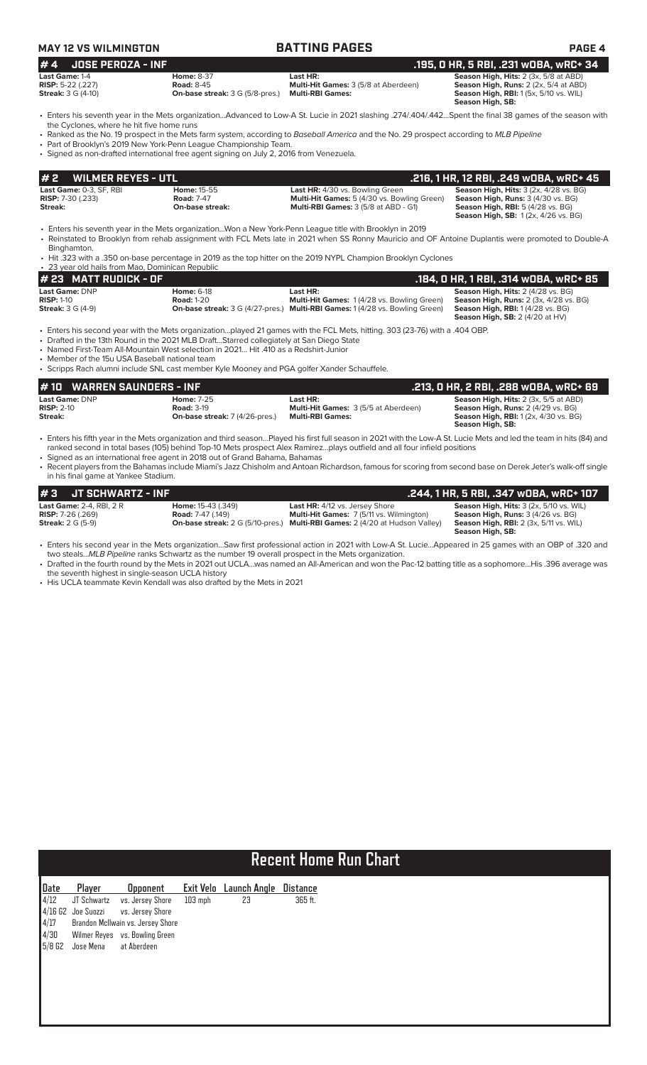| <b>MAY 12 VS WILMINGTON</b>                                                                                                                                                                                                                                                                                                       |                                                                                           | <b>BATTING PAGES</b>                                                                                                                                                                                                                                                                                                                                                                                                                                             | <b>PAGE 4</b>                                                                                                                                                                 |
|-----------------------------------------------------------------------------------------------------------------------------------------------------------------------------------------------------------------------------------------------------------------------------------------------------------------------------------|-------------------------------------------------------------------------------------------|------------------------------------------------------------------------------------------------------------------------------------------------------------------------------------------------------------------------------------------------------------------------------------------------------------------------------------------------------------------------------------------------------------------------------------------------------------------|-------------------------------------------------------------------------------------------------------------------------------------------------------------------------------|
| #4<br><b>JOSE PEROZA - INF</b>                                                                                                                                                                                                                                                                                                    |                                                                                           |                                                                                                                                                                                                                                                                                                                                                                                                                                                                  | .195, 0 HR, 5 RBI, .231 wOBA, wRC+ 34                                                                                                                                         |
| Last Game: 1-4<br>RISP: 5-22 (.227)<br><b>Streak:</b> 3 G (4-10)                                                                                                                                                                                                                                                                  | <b>Home: 8-37</b><br><b>Road: 8-45</b><br><b>On-base streak:</b> 3 G (5/8-pres.)          | Last HR:<br>Multi-Hit Games: 3 (5/8 at Aberdeen)<br><b>Multi-RBI Games:</b>                                                                                                                                                                                                                                                                                                                                                                                      | Season High, Hits: 2 (3x, 5/8 at ABD)<br>Season High, Runs: 2 (2x, 5/4 at ABD)<br><b>Season High, RBI:</b> 1 (5x, 5/10 vs. WIL)<br>Season High, SB:                           |
| the Cyclones, where he hit five home runs<br>• Part of Brooklyn's 2019 New York-Penn League Championship Team.<br>• Signed as non-drafted international free agent signing on July 2, 2016 from Venezuela.                                                                                                                        |                                                                                           | • Enters his seventh year in the Mets organizationAdvanced to Low-A St. Lucie in 2021 slashing .274/.404/.442Spent the final 38 games of the season with<br>• Ranked as the No. 19 prospect in the Mets farm system, according to Baseball America and the No. 29 prospect according to MLB Pipeline                                                                                                                                                             |                                                                                                                                                                               |
| <b>WILMER REYES - UTL</b><br>#2                                                                                                                                                                                                                                                                                                   |                                                                                           |                                                                                                                                                                                                                                                                                                                                                                                                                                                                  | .216, 1 HR, 12 RBI, .249 wOBA, wRC+ 45                                                                                                                                        |
| Last Game: 0-3, SF, RBI<br><b>RISP:</b> 7-30 (.233)<br>Streak:                                                                                                                                                                                                                                                                    | Home: 15-55<br><b>Road: 7-47</b><br>On-base streak:                                       | Last HR: 4/30 vs. Bowling Green<br>Multi-Hit Games: 5 (4/30 vs. Bowling Green)<br>Multi-RBI Games: 3 (5/8 at ABD - G1)                                                                                                                                                                                                                                                                                                                                           | <b>Season High, Hits: 3 (2x, 4/28 vs. BG)</b><br>Season High, Runs: 3 (4/30 vs. BG)<br><b>Season High, RBI: 5 (4/28 vs. BG)</b><br><b>Season High, SB: 1(2x, 4/26 vs. BG)</b> |
| Binghamton.<br>• 23 year old hails from Mao, Dominican Republic                                                                                                                                                                                                                                                                   |                                                                                           | • Enters his seventh year in the Mets organizationWon a New York-Penn League title with Brooklyn in 2019<br>• Reinstated to Brooklyn from rehab assignment with FCL Mets late in 2021 when SS Ronny Mauricio and OF Antoine Duplantis were promoted to Double-A<br>• Hit .323 with a .350 on-base percentage in 2019 as the top hitter on the 2019 NYPL Champion Brooklyn Cyclones                                                                               |                                                                                                                                                                               |
| $# 23$ MATT RUDICK - OF                                                                                                                                                                                                                                                                                                           |                                                                                           |                                                                                                                                                                                                                                                                                                                                                                                                                                                                  | .184, 0 HR, 1 RBI, .314 WOBA, WRC+ 85                                                                                                                                         |
| Last Game: DNP<br><b>RISP: 1-10</b><br><b>Streak:</b> 3 G (4-9)                                                                                                                                                                                                                                                                   | <b>Home: 6-18</b><br><b>Road: 1-20</b>                                                    | Last HR:<br>Multi-Hit Games: 1 (4/28 vs. Bowling Green)<br><b>On-base streak:</b> 3 G (4/27-pres.) Multi-RBI Games: 1 (4/28 vs. Bowling Green)                                                                                                                                                                                                                                                                                                                   | Season High, Hits: 2 (4/28 vs. BG)<br><b>Season High, Runs: 2 (3x, 4/28 vs. BG)</b><br>Season High, RBI: 1(4/28 vs. BG)<br><b>Season High, SB: 2 (4/20 at HV)</b>             |
| • Drafted in the 13th Round in the 2021 MLB DraftStarred collegiately at San Diego State<br>• Named First-Team All-Mountain West selection in 2021 Hit .410 as a Redshirt-Junior<br>• Member of the 15u USA Baseball national team<br>• Scripps Rach alumni include SNL cast member Kyle Mooney and PGA golfer Xander Schauffele. |                                                                                           | • Enters his second year with the Mets organizationplayed 21 games with the FCL Mets, hitting. 303 (23-76) with a .404 OBP.                                                                                                                                                                                                                                                                                                                                      |                                                                                                                                                                               |
| <b>WARREN SAUNDERS - INF</b><br>#10                                                                                                                                                                                                                                                                                               |                                                                                           |                                                                                                                                                                                                                                                                                                                                                                                                                                                                  | .213, 0 HR, 2 RBI, .288 w0BA, wRC+ 69                                                                                                                                         |
| Last Game: DNP<br>$RISP: 2-10$<br>Streak:                                                                                                                                                                                                                                                                                         | <b>Home: 7-25</b><br><b>Road: 3-19</b><br><b>On-base streak:</b> 7 (4/26-pres.)           | Last HR:<br>Multi-Hit Games: 3 (5/5 at Aberdeen)<br><b>Multi-RBI Games:</b>                                                                                                                                                                                                                                                                                                                                                                                      | Season High, Hits: 2 (3x, 5/5 at ABD)<br>Season High, Runs: 2 (4/29 vs. BG)<br><b>Season High, RBI:</b> 1 (2x, 4/30 vs. BG)<br>Season High, SB:                               |
| • Signed as an international free agent in 2018 out of Grand Bahama, Bahamas<br>in his final game at Yankee Stadium.                                                                                                                                                                                                              |                                                                                           | • Enters his fifth year in the Mets organization and third seasonPlayed his first full season in 2021 with the Low-A St. Lucie Mets and led the team in hits (84) and<br>ranked second in total bases (105) behind Top-10 Mets prospect Alex Ramirezplays outfield and all four infield positions<br>• Recent players from the Bahamas include Miami's Jazz Chisholm and Antoan Richardson, famous for scoring from second base on Derek Jeter's walk-off single |                                                                                                                                                                               |
| #3<br><b>JT SCHWARTZ - INF</b>                                                                                                                                                                                                                                                                                                    |                                                                                           |                                                                                                                                                                                                                                                                                                                                                                                                                                                                  | .244, 1 HR, 5 RBI, .347 WOBA, WRC+ 107                                                                                                                                        |
| Last Game: 2-4, RBI, 2 R<br><b>RISP:</b> 7-26 (.269)<br><b>Streak: 2 G (5-9)</b>                                                                                                                                                                                                                                                  | Home: 15-43 (.349)<br><b>Road: 7-47 (.149)</b><br><b>On-base streak:</b> 2 G (5/10-pres.) | Last HR: 4/12 vs. Jersey Shore<br>Multi-Hit Games: 7 (5/11 vs. Wilmington)<br>Multi-RBI Games: 2 (4/20 at Hudson Valley)                                                                                                                                                                                                                                                                                                                                         | Season High, Hits: 3 (2x, 5/10 vs. WIL)<br>Season High, Runs: 3 (4/26 vs. BG)<br><b>Season High, RBI:</b> 2 (3x, 5/11 vs. WIL)<br>Season High, SB:                            |
|                                                                                                                                                                                                                                                                                                                                   |                                                                                           | • Enters his second year in the Mets organizationSaw first professional action in 2021 with Low-A St. LucieAppeared in 25 games with an OBP of .320 and<br>two stealsMLB Pipeline ranks Schwartz as the number 19 overall prospect in the Mets organization.                                                                                                                                                                                                     |                                                                                                                                                                               |

• Drafted in the fourth round by the Mets in 2021 out UCLA…was named an All-American and won the Pac-12 batting title as a sophomore…His .396 average was the seventh highest in single-season UCLA history

• His UCLA teammate Kevin Kendall was also drafted by the Mets in 2021

# **Recent Home Run Chart**

| Date          | Player                       | <b>Opponent</b>                     |           | Exit Velo Launch Angle | <b>Distance</b> |
|---------------|------------------------------|-------------------------------------|-----------|------------------------|-----------------|
| $\sqrt{4/12}$ |                              | JT Schwartz vs. Jersey Shore        | $103$ mph | 23                     | 365 ft.         |
|               |                              | 4/16 G2 Joe Suozzi vs. Jersey Shore |           |                        |                 |
| 4/17          |                              | Brandon McIlwain vs. Jersey Shore   |           |                        |                 |
| 4/30          |                              | Wilmer Reyes vs. Bowling Green      |           |                        |                 |
|               | 5/8 G2 Jose Mena at Aberdeen |                                     |           |                        |                 |
|               |                              |                                     |           |                        |                 |
|               |                              |                                     |           |                        |                 |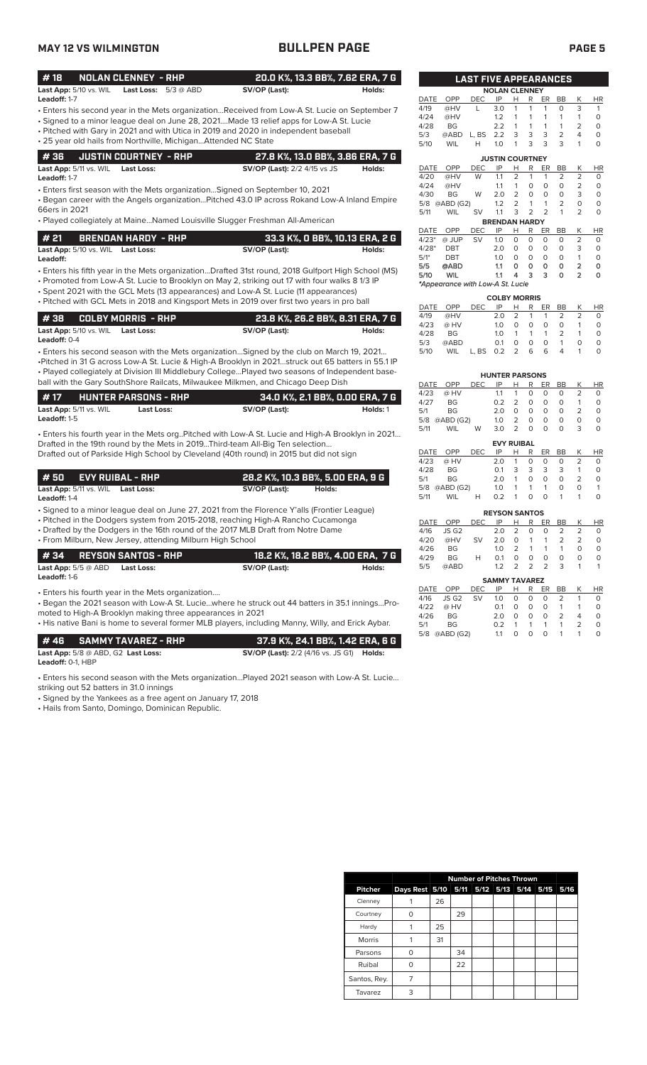# **MAY 12 VS WILMINGTON BULLPEN PAGE PAGE 5**

| #18                             | NOLAN CLENNEY - RHP . |                               |               | 20.0 K%, 13.3 BB%, 7.62 ERA, 7 G |
|---------------------------------|-----------------------|-------------------------------|---------------|----------------------------------|
| <b>Last App:</b> $5/10$ vs. WIL |                       | <b>Last Loss:</b> $5/3$ @ ABD | SV/OP (Last): | Holds:                           |
| Leadoff: 1-7                    |                       |                               |               |                                  |

- Enters his second year in the Mets organization...Received from Low-A St. Lucie on September 7
- Signed to a minor league deal on June 28, 2021....Made 13 relief apps for Low-A St. Lucie • Pitched with Gary in 2021 and with Utica in 2019 and 2020 in independent baseball
- 25 year old hails from Northville, Michigan...Attended NC State

|                                          | $\parallel$ # 36 $\parallel$ JUSTIN COURTNEY - RHP | 27.8 K%, 13.0 BB%, 3.86 ERA, 7 G    |        |
|------------------------------------------|----------------------------------------------------|-------------------------------------|--------|
| <b>Last App:</b> 5/11 vs. WIL Last Loss: |                                                    | <b>SV/OP (Last):</b> 2/2 4/15 vs JS | Holds: |

**Leadoff:** 1-7

• Enters first season with the Mets organization…Signed on September 10, 2021

• Began career with the Angels organization…Pitched 43.0 IP across Rokand Low-A Inland Empire 66ers in 2021

• Played collegiately at Maine…Named Louisville Slugger Freshman All-American

|                                   | $\#$ 21 BRENDAN HARDY - RHP |  |               | 33.3 K%, O BB%, 10.13 ERA, 2 G |  |  |  |  |
|-----------------------------------|-----------------------------|--|---------------|--------------------------------|--|--|--|--|
| Last App: 5/10 vs. WIL Last Loss: |                             |  | SV/OP (Last): | Holds:                         |  |  |  |  |

• Enters his fifth year in the Mets organization...Drafted 31st round, 2018 Gulfport High School (MS) **Leadoff:**

• Promoted from Low-A St. Lucie to Brooklyn on May 2, striking out 17 with four walks 8 1/3 IP

• Spent 2021 with the GCL Mets (13 appearances) and Low-A St. Lucie (11 appearances) • Pitched with GCL Mets in 2018 and Kingsport Mets in 2019 over first two years in pro ball

|                     |                                   | 1 # 38      COLBY MORRIS  - RHP | 23.8 K%, 26.2 BB%, 8.31 ERA, 7 G |        |
|---------------------|-----------------------------------|---------------------------------|----------------------------------|--------|
|                     | Last App: 5/10 vs. WIL Last Loss: |                                 | SV/OP (Last):                    | Holds: |
| <b>Leadoff: 0-4</b> |                                   |                                 |                                  |        |

• Enters his second season with the Mets organization…Signed by the club on March 19, 2021… •Pitched in 31 G across Low-A St. Lucie & High-A Brooklyn in 2021…struck out 65 batters in 55.1 IP • Played collegiately at Division III Middlebury College…Played two seasons of Independent baseball with the Gary SouthShore Railcats, Milwaukee Milkmen, and Chicago Deep Dish

| #17                 |                                 | <b>HUNTER PARSONS - RHP</b> | 34.0 K%, 2.1 BB%, 0.00 ERA, 7 G |          |
|---------------------|---------------------------------|-----------------------------|---------------------------------|----------|
|                     | <b>Last App:</b> $5/11$ vs. WIL | Last Loss:                  | SV/OP (Last):                   | Holds: 1 |
| <b>Leadoff:</b> 1-5 |                                 |                             |                                 |          |

• Enters his fourth year in the Mets org..Pitched with Low-A St. Lucie and High-A Brooklyn in 2021… Drafted in the 19th round by the Mets in 2019...Third-team All-Big Ten selection... Drafted out of Parkside High School by Cleveland (40th round) in 2015 but did not sign

| #50 EVY RUIBAL - RHP              |  |               |        | 28.2 K%, 10.3 BB%, 5.00 ERA, 9 G |
|-----------------------------------|--|---------------|--------|----------------------------------|
| Last App: 5/11 vs. WIL Last Loss: |  | SV/OP (Last): | Holds: |                                  |

**Leadoff:** 1-4

• Signed to a minor league deal on June 27, 2021 from the Florence Y'alls (Frontier League)

• Pitched in the Dodgers system from 2015-2018, reaching High-A Rancho Cucamonga

• Drafted by the Dodgers in the 16th round of the 2017 MLB Draft from Notre Dame • From Milburn, New Jersey, attending Milburn High School

|                                                                         | #34 REYSON SANTOS - RHP                           |               | ' 18.2 K%, 18.2 BB%, 4.00 ERA,  7 G |
|-------------------------------------------------------------------------|---------------------------------------------------|---------------|-------------------------------------|
| $\textsf{Last App: }5/5\varnothing\textsf{ ABD}$<br><b>Leadoff:</b> 1-6 | Last Loss:                                        | SV/OP (Last): | Holds:                              |
|                                                                         | • Enters his fourth year in the Mets organization |               |                                     |

• Began the 2021 season with Low-A St. Lucie…where he struck out 44 batters in 35.1 innings…Promoted to High-A Brooklyn making three appearances in 2021

• His native Bani is home to several former MLB players, including Manny, Willy, and Erick Aybar.

|                              | <b>#46 SAMMYTAVAREZ - RHP</b>        | 37.9 K%, 24.1 BB%, 1.42 ERA, 6 G                        |  |
|------------------------------|--------------------------------------|---------------------------------------------------------|--|
|                              | Last App: $5/8$ @ ABD, G2 Last Loss: | <b>SV/OP (Last):</b> 2/2 (4/16 vs. JS G1) <b>Holds:</b> |  |
| $L = L/L$ $(0.4 \times 100)$ |                                      |                                                         |  |

**Leadoff:** 0-1, HBP

• Enters his second season with the Mets organization…Played 2021 season with Low-A St. Lucie…

striking out 52 batters in 31.0 innings • Signed by the Yankees as a free agent on January 17, 2018

| • Hails from Santo, Domingo, Dominican Republic. |  |
|--------------------------------------------------|--|
|--------------------------------------------------|--|

|                        | <b>LAST FIVE APPEARANCES</b>     |            |                      |                |          |                |                |                |           |  |
|------------------------|----------------------------------|------------|----------------------|----------------|----------|----------------|----------------|----------------|-----------|--|
|                        |                                  |            | <b>NOLAN CLENNEY</b> |                |          |                |                |                |           |  |
| <b>DATE</b>            | OPP                              | <b>DEC</b> | IP                   | Н              | R        | ER             | <b>BB</b>      | Κ              | <b>HR</b> |  |
| 4/19                   | @HV                              | L          | 3.0                  | 1              | 1        | 1              | $\Omega$       | 3              | 1         |  |
| 4/24                   | @HV                              |            | 1.2                  | 1              | 1        | 1              | 1              | 1              | 0         |  |
| 4/28                   | <b>BG</b>                        |            | 2.2                  | 1              | 1        | 1              | 1              | 2              | 0         |  |
| 5/3                    | @ABD                             | L. BS      | 2.2                  | 3              | 3        | 3              | $\overline{2}$ | 4              | 0         |  |
| 5/10                   | WIL                              | н          | 1.0                  | 1              | 3        | 3              | 3              | 1              | 0         |  |
| <b>JUSTIN COURTNEY</b> |                                  |            |                      |                |          |                |                |                |           |  |
| <b>DATE</b>            | OPP                              | <b>DEC</b> | IP                   | Н              | R        | ER             | <b>BB</b>      | Κ              | ΗR        |  |
| 4/20                   | @HV                              | W          | 1.1                  | $\overline{2}$ | 1        | 1              | $\overline{2}$ | $\overline{2}$ | 0         |  |
| 4/24                   | @HV                              |            | 1.1                  | 1              | 0        | $\Omega$       | $\Omega$       | $\overline{2}$ | $\Omega$  |  |
| 4/30                   | <b>BG</b>                        | W          | 2.0                  | 2              | 0        | $\Omega$       | $\Omega$       | 3              | 0         |  |
| 5/8                    | @ABD (G2)                        |            | 1.2                  | $\overline{2}$ | 1        | 1              | 2              | $\Omega$       | $\Omega$  |  |
| 5/11                   | <b>WIL</b>                       | SV         | 1.1                  | 3              | 2        | $\overline{2}$ | 1              | 2              | $\Omega$  |  |
|                        |                                  |            | <b>BRENDAN HARDY</b> |                |          |                |                |                |           |  |
| <b>DATE</b>            | OPP                              | <b>DEC</b> | IP                   | н              | R        | ER             | BB             | Κ              | HR        |  |
| $4/23*$                | @ JUP                            | SV         | 1.0                  | 0              | $\Omega$ | $\Omega$       | $\Omega$       | $\overline{2}$ | 0         |  |
| $4/28*$                | <b>DBT</b>                       |            | 2.0                  | 0              | $\Omega$ | $\Omega$       | $\Omega$       | 3              | 0         |  |
| $5/1*$                 | <b>DBT</b>                       |            | 1.0                  | 0              | $\Omega$ | $\Omega$       | $\Omega$       | 1              | 0         |  |
| 5/5                    | <b>@ABD</b>                      |            | 1.1                  | Ō              | O        | O              | 0              | $\overline{a}$ | 0         |  |
| 5/10                   | Wil                              |            | 1.1                  | 4              | 3        | 3              | O              | $\overline{2}$ | ٥         |  |
|                        | *Appearance with Low-A St. Lucie |            |                      |                |          |                |                |                |           |  |
|                        | <b>COLBY MORRIS</b>              |            |                      |                |          |                |                |                |           |  |

| DATE OPP |            | DEC.      | IP  | н             |                | R ER BB        |                | Κ | HR.      |
|----------|------------|-----------|-----|---------------|----------------|----------------|----------------|---|----------|
| 4/19     | @HV        |           | 2.0 | $\mathcal{L}$ | $\overline{1}$ | -1             | $\mathcal{L}$  |   | O        |
| 4/23     | @ HV       |           | 1.0 | 0             | 0              | 0              | 0              |   | 0        |
| 4/28     | BG.        |           | 1.0 |               | $\overline{1}$ | $\overline{1}$ | $\overline{2}$ |   | O        |
| 5/3      | @ABD       |           | O 1 | 0             | O              | O.             | 1              |   | 0        |
| 5/10     | <b>WIL</b> | L. BS 0.2 |     | $\mathcal{P}$ | 6              | 6              |                |   | $\left($ |

|        |               |            | <b>HUNTER PARSONS</b> |                          |   |    |                          |                |        |
|--------|---------------|------------|-----------------------|--------------------------|---|----|--------------------------|----------------|--------|
| DATE   | OPP           | <b>DEC</b> | IP                    | н                        | R | ER | BВ                       | Κ              | HR     |
| 4/23   | @ HV          |            | 1.1                   | 1                        | 0 | Ο  | 0                        | $\mathcal{P}$  | O      |
| 4/27   | BG            |            | 0.2                   | 2                        | O | Ο  | Ο                        | 1              | 0      |
| 5/1    | BG            |            | 2.0                   | O                        | O | Ο  | Ο                        | $\overline{2}$ | O      |
| 5/8    | @ABD (G2)     |            | 1.0                   | 2                        | O | O  | Ο                        | O              | O      |
| 5/11   | WIL           | W          | 3.0                   | $\mathcal{P}$            | O | O  | Ο                        | 3              | 0      |
|        |               |            | <b>EVY RUIBAL</b>     |                          |   |    |                          |                |        |
| DATE   | OPP           | <b>DEC</b> | IP                    | н                        | R | ER | BB                       | Κ              | HR.    |
| 4/23   | @ HV          |            | 2.0                   |                          | O | O  | O                        | っ              | O      |
| $\sim$ | $\sim$ $\sim$ |            | $\sim$ $\sim$         | $\overline{\phantom{0}}$ | ~ |    | $\overline{\phantom{0}}$ | $\overline{a}$ | $\sim$ |

| 4/28 | <b>BG</b>     |     | $\Omega$ 1           | $\mathbf{3}$   |   | $3 \overline{3}$ | 3  |   |    |
|------|---------------|-----|----------------------|----------------|---|------------------|----|---|----|
| 5/1  | <b>BG</b>     |     | 2.0                  | 1              | 0 | 0                | 0  |   |    |
|      | 5/8 @ABD (G2) |     | 1.0                  | 1              | 1 | 1                | O  | O |    |
| 5/11 | <b>WIL</b>    | н   | 0.2                  | $\overline{1}$ | 0 | $\Omega$         | 1  |   | Ω  |
|      |               |     | <b>REYSON SANTOS</b> |                |   |                  |    |   |    |
| DATE | OPP           | DEC | IP                   | H.             | R | ER               | BB |   | ΗR |

|      | 4/16 JS G2      |   | 2.0 2 0 0 2 |  |            |          |   |          | O        |  |
|------|-----------------|---|-------------|--|------------|----------|---|----------|----------|--|
|      | 4/20 @HV SV     |   | 2.0 0 1 1 2 |  |            |          |   |          | $\Omega$ |  |
| 4/26 | <b>BG</b>       |   | 1.0 2 1 1 1 |  |            |          |   | $\Omega$ | $\Omega$ |  |
| 4/29 | BG.             | H | 0.1         |  | $0\quad 0$ | $\Omega$ | 0 | O        | $\Omega$ |  |
| 5/5  | @ABD            |   | 1.2 2 2 2 3 |  |            |          |   |          |          |  |
|      | CAMAMY TAULARET |   |             |  |            |          |   |          |          |  |

|      | SAMMIT IAVAREZ            |                  |            |              |                |          |             |                |           |
|------|---------------------------|------------------|------------|--------------|----------------|----------|-------------|----------------|-----------|
|      | DATE OPP                  | DEC IP H R ER BB |            |              |                |          |             | <b>K</b>       | <b>HR</b> |
|      | 4/16 JS G2 SV 1.0 0 0 0 2 |                  |            |              |                |          |             |                | O         |
| 4/22 | @ HV                      |                  | $\Omega$ 1 | $\Omega$     | $\overline{0}$ | $\Omega$ | $1 \quad 1$ |                | O         |
| 4/26 | BG.                       |                  | 2 O        | $\Omega$     | $\Omega$       | $\Omega$ | 2           | $\overline{4}$ | O         |
| 5/1  | <b>BG</b>                 |                  | 0.2        |              | $\overline{1}$ |          | $1 \quad 1$ | $\mathcal{P}$  |           |
|      | 5/8 @ABD (G2)             |                  | 11         | <sup>n</sup> | O.             |          | $0 \t1 \t1$ |                |           |

|                |                                         | <b>Number of Pitches Thrown</b> |    |  |  |  |  |      |
|----------------|-----------------------------------------|---------------------------------|----|--|--|--|--|------|
| <b>Pitcher</b> | Days Rest 5/10 5/11 5/12 5/13 5/14 5/15 |                                 |    |  |  |  |  | 5/16 |
| Clenney        |                                         | 26                              |    |  |  |  |  |      |
| Courtney       | ∩                                       |                                 | 29 |  |  |  |  |      |
| Hardy          |                                         | 25                              |    |  |  |  |  |      |
| Morris         |                                         | 31                              |    |  |  |  |  |      |
| Parsons        | ∩                                       |                                 | 34 |  |  |  |  |      |
| Ruibal         | ∩                                       |                                 | 22 |  |  |  |  |      |
| Santos, Rey.   | 7                                       |                                 |    |  |  |  |  |      |
| Tavarez        | 3                                       |                                 |    |  |  |  |  |      |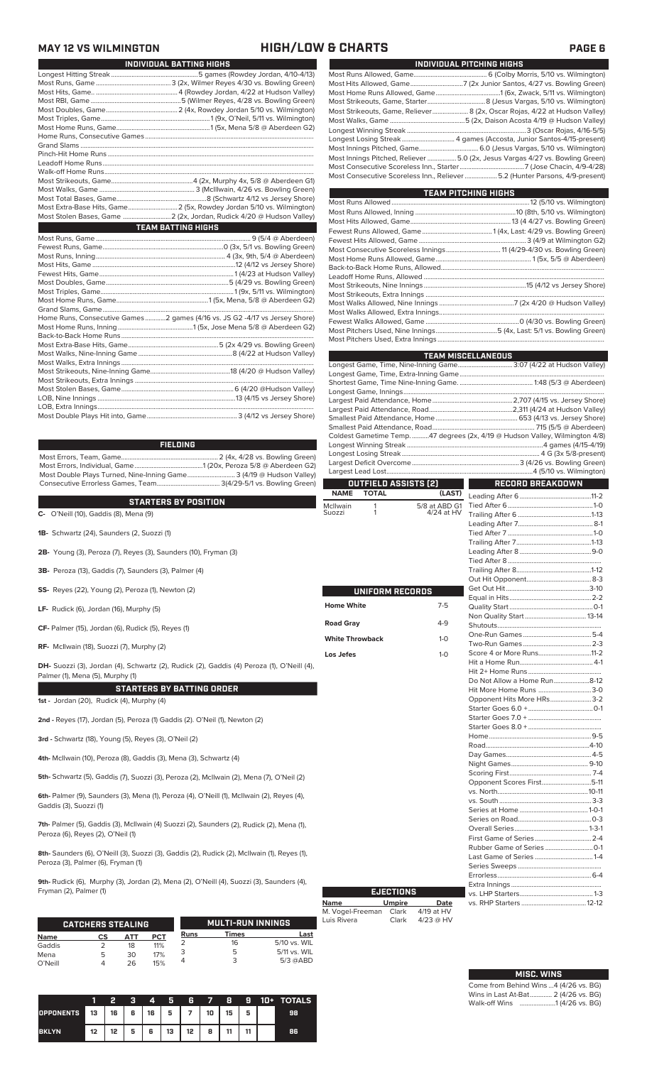### **MAY 12 VS WILMINGTON HIGH/LOW & CHARTS PAGE 6**

L

| INDIVIDUAL BATTING HIGHS                                                    |
|-----------------------------------------------------------------------------|
|                                                                             |
|                                                                             |
|                                                                             |
|                                                                             |
|                                                                             |
|                                                                             |
|                                                                             |
|                                                                             |
|                                                                             |
|                                                                             |
|                                                                             |
|                                                                             |
|                                                                             |
|                                                                             |
|                                                                             |
|                                                                             |
|                                                                             |
| <b>TEAM BATTING HIGHS</b>                                                   |
|                                                                             |
|                                                                             |
|                                                                             |
|                                                                             |
|                                                                             |
|                                                                             |
|                                                                             |
|                                                                             |
|                                                                             |
|                                                                             |
| Home Runs, Consecutive Games 2 games (4/16 vs. JS G2 -4/17 vs Jersey Shore) |
|                                                                             |
|                                                                             |
|                                                                             |
|                                                                             |
|                                                                             |
|                                                                             |
|                                                                             |
|                                                                             |

LOB, Nine Innings .................................................................................13 (4/15 vs Jersey Shore) LOB, Extra Innings............................................................................................................................... Most Double Plays Hit into, Game..................................................... 3 (4/12 vs Jersey Shore)

Most Errors, Team, Game......................................................... 2 (4x, 4/28 vs. Bowling Green) Most Errors, Individual, Game........................................1 (20x, Peroza 5/8 @ Aberdeen G2) Most Double Plays Turned, Nine-Inning Game............................ 3 (4/19 @ Hudson Valley) Consecutive Errorless Games, Team..................................... 3(4/29-5/1 vs. Bowling Green) **FIELDING**

### **STARTERS BY POSITION**

STARTERS BY PUSITIUN<br>C- O'Neill (10), Gaddis (8), Mena (9)<br>Su

- **1B-** Schwartz (24), Saunders (2, Suozzi (1)
- **2B-** Young (3), Peroza (7), Reyes (3), Saunders (10), Fryman (3)
- **3B-** Peroza (13), Gaddis (7), Saunders (3), Palmer (4)
- **SS-** Reyes (22), Young (2), Peroza (1), Newton (2)
- **LF-** Rudick (6), Jordan (16), Murphy (5)
- **CF-** Palmer (15), Jordan (6), Rudick (5), Reyes (1)
- **RF-** McIlwain (18), Suozzi (7), Murphy (2)

**DH-** Suozzi (3), Jordan (4), Schwartz (2), Rudick (2), Gaddis (4) Peroza (1), O'Neill (4), Palmer (1), Mena (5), Murphy (1)

### **STARTERS BY BATTING ORDER**

**1st -** Jordan (20), Rudick (4), Murphy (4)

**2nd -** Reyes (17), Jordan (5), Peroza (1) Gaddis (2). O'Neil (1), Newton (2)

**3rd -** Schwartz (18), Young (5), Reyes (3), O'Neil (2)

**4th-** McIlwain (10), Peroza (8), Gaddis (3), Mena (3), Schwartz (4)

**5th-** Schwartz (5), Gaddis (7), Suozzi (3), Peroza (2), McIlwain (2), Mena (7), O'Neil (2)

**6th-** Palmer (9), Saunders (3), Mena (1), Peroza (4), O'Neill (1), McIlwain (2), Reyes (4), Gaddis (3), Suozzi (1)

**7th-** Palmer (5), Gaddis (3), McIlwain (4) Suozzi (2), Saunders (2), Rudick (2), Mena (1), Peroza (6), Reyes (2), O'Neil (1)

**8th-** Saunders (6), O'Neill (3), Suozzi (3), Gaddis (2), Rudick (2), McIlwain (1), Reyes (1), Peroza (3), Palmer (6), Fryman (1)

**9th-** Rudick (6), Murphy (3), Jordan (2), Mena (2), O'Neill (4), Suozzi (3), Saunders (4), Fryman (2), Palmer (1)

|             | <b>CATCHERS STEALING</b> |     |     |      | <b>MULTI-RUN INNINGS</b> |              |
|-------------|--------------------------|-----|-----|------|--------------------------|--------------|
| <b>Name</b> | СS                       | АТТ | PCT | Runs | Times                    | Last         |
| Gaddis      |                          | 18  | 11% |      | 16                       | 5/10 vs. WIL |
| Mena        | 5                        | 30  | 17% |      |                          | 5/11 vs. WIL |
| O'Neill     |                          | 26  | 15% |      |                          | $5/3$ @ABD   |

|                  |    | 2  | Ð | 4  | Б  | 6  | 7  | 8  | 9  | 10+ | <b>TOTALS</b> |
|------------------|----|----|---|----|----|----|----|----|----|-----|---------------|
| <b>OPPONENTS</b> | 13 | 16 | 6 | 16 | 5  |    | 10 | 15 | 一  |     | 98            |
| <b>BKLYN</b>     | 12 | 12 | 5 | 6  | 13 | 12 | 8  | 44 | 44 |     | 86            |

| INDIVIDUAL PITCHING HIGHS                                                        |
|----------------------------------------------------------------------------------|
|                                                                                  |
| Most Hits Allowed, Game7 (2x Junior Santos, 4/27 vs. Bowling Green)              |
|                                                                                  |
| Most Strikeouts, Game, Starter…………………………………8 (Jesus Vargas, 5/10 vs. Wilmington) |
| Most Strikeouts, Game, Reliever 8 (2x, Oscar Rojas, 4/22 at Hudson Valley)       |
|                                                                                  |
|                                                                                  |
|                                                                                  |
|                                                                                  |
| Most Innings Pitched, Reliever  5.0 (2x, Jesus Vargas 4/27 vs. Bowling Green)    |
|                                                                                  |
| Most Consecutive Scoreless Inn., Reliever 5.2 (Hunter Parsons, 4/9-present)      |
|                                                                                  |

| <b>TEAM PITCHING HIGHS</b> |  |
|----------------------------|--|
|                            |  |
|                            |  |
|                            |  |
|                            |  |
|                            |  |
|                            |  |
|                            |  |
|                            |  |
|                            |  |
|                            |  |
|                            |  |
|                            |  |
|                            |  |
|                            |  |
|                            |  |
|                            |  |

|                        |                      |               | <b>TEAM MISCELLANEOUS</b>                                                    |  |  |  |
|------------------------|----------------------|---------------|------------------------------------------------------------------------------|--|--|--|
|                        |                      |               | Longest Game, Time, Nine-Inning Game 3:07 (4/22 at Hudson Valley)            |  |  |  |
|                        |                      |               |                                                                              |  |  |  |
|                        |                      |               |                                                                              |  |  |  |
|                        |                      |               |                                                                              |  |  |  |
|                        |                      |               |                                                                              |  |  |  |
|                        |                      |               |                                                                              |  |  |  |
|                        |                      |               |                                                                              |  |  |  |
|                        |                      |               | Coldest Gametime Temp. 47 degrees (2x, 4/19 @ Hudson Valley, Wilmington 4/8) |  |  |  |
|                        |                      |               |                                                                              |  |  |  |
|                        |                      |               |                                                                              |  |  |  |
|                        |                      |               |                                                                              |  |  |  |
|                        |                      |               |                                                                              |  |  |  |
|                        | OUTFIELD ASSISTS (2) |               | RECORD BREAKDOWN                                                             |  |  |  |
| <b>NAME</b>            | <b>TOTAL</b>         | (LAST)        |                                                                              |  |  |  |
| McIlwain               | 1                    | 5/8 at ABD G1 |                                                                              |  |  |  |
| Suozzi                 | 1                    | 4/24 at HV    |                                                                              |  |  |  |
|                        |                      |               |                                                                              |  |  |  |
|                        |                      |               |                                                                              |  |  |  |
|                        |                      |               |                                                                              |  |  |  |
|                        |                      |               |                                                                              |  |  |  |
|                        |                      |               |                                                                              |  |  |  |
|                        |                      |               |                                                                              |  |  |  |
|                        |                      |               |                                                                              |  |  |  |
|                        | UNIFORM RECORDS      |               |                                                                              |  |  |  |
| <b>Home White</b>      |                      | $7-5$         |                                                                              |  |  |  |
|                        |                      |               |                                                                              |  |  |  |
| <b>Road Gray</b>       |                      | $4-9$         |                                                                              |  |  |  |
|                        |                      |               |                                                                              |  |  |  |
| <b>White Throwback</b> |                      | $1-0$         |                                                                              |  |  |  |
| Los Jefes              |                      | $1-0$         | Score 4 or More Runs11-2                                                     |  |  |  |
|                        |                      |               |                                                                              |  |  |  |
|                        |                      |               |                                                                              |  |  |  |
|                        |                      |               | Do Not Allow a Home Run8-12                                                  |  |  |  |
|                        |                      |               | Hit More Home Runs 3-0                                                       |  |  |  |
|                        |                      |               | Opponent Hits More HRs 3-2                                                   |  |  |  |
|                        |                      |               |                                                                              |  |  |  |
|                        |                      |               |                                                                              |  |  |  |
|                        |                      |               |                                                                              |  |  |  |
|                        |                      |               |                                                                              |  |  |  |
|                        |                      |               |                                                                              |  |  |  |
|                        |                      |               |                                                                              |  |  |  |
|                        |                      |               |                                                                              |  |  |  |
|                        |                      |               | Opponent Scores First5-11                                                    |  |  |  |
|                        |                      |               |                                                                              |  |  |  |
|                        |                      |               |                                                                              |  |  |  |
|                        |                      |               |                                                                              |  |  |  |
|                        |                      |               |                                                                              |  |  |  |
|                        |                      |               |                                                                              |  |  |  |
|                        |                      |               |                                                                              |  |  |  |
|                        |                      |               |                                                                              |  |  |  |
|                        |                      |               |                                                                              |  |  |  |

|                  | <b>EJECTIONS</b> |             |
|------------------|------------------|-------------|
| <b>Name</b>      | <b>Umpire</b>    | Date        |
| M. Vogel-Freeman | Clark            | 4/19 at HV  |
| Luis Rivera      | Clark            | $4/23$ @ HV |

| <b>MISC. WINS</b>                     |
|---------------------------------------|
| Come from Behind Wins 4 (4/26 vs. BG) |
| Wins in Last At-Bat 2 (4/26 vs. BG)   |
|                                       |

Series Sweeps .................................................

Extra Innings .....................................................

vs. RHP Starters ......................................12-12

Errorless.

vs. LHP Starters.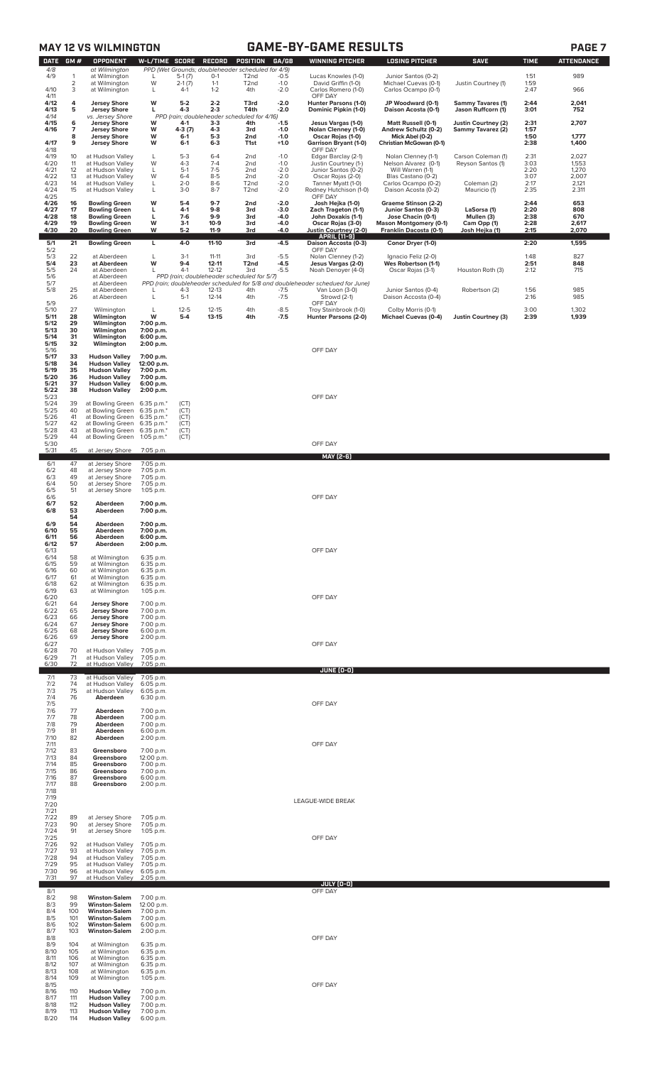|                                |                     | <b>MAY 12 VS WILMINGTON</b>                                          |                                        |                             |                           |                                                                                    |                            | <b>GAME-BY-GAME RESULTS</b>                                                                     |                                                                  |                                                |                      | PAGE <sub>7</sub>        |
|--------------------------------|---------------------|----------------------------------------------------------------------|----------------------------------------|-----------------------------|---------------------------|------------------------------------------------------------------------------------|----------------------------|-------------------------------------------------------------------------------------------------|------------------------------------------------------------------|------------------------------------------------|----------------------|--------------------------|
| <b>DATE</b><br>4/8<br>4/9      | GM#<br>1            | <b>OPPONENT</b><br>at Wilmington<br>at Wilmington                    | W-L/TIME SCORE<br>L                    | $5-1(7)$                    | <b>RECORD</b><br>$0-1$    | POSITION<br>PPD (Wet Grounds; doubleheader scheduled for 4/9)<br>T <sub>2</sub> nd | GA/GB<br>$-0.5$            | <b>WINNING PITCHER</b><br>Lucas Knowles (1-0)                                                   | <b>LOSING PITCHER</b><br>Junior Santos (0-2)                     | <b>SAVE</b>                                    | <b>TIME</b><br>1:51  | <b>ATTENDANCE</b><br>989 |
| 4/10                           | $\overline{2}$<br>3 | at Wilmington<br>at Wilmington                                       | W<br>L                                 | $2-1(7)$<br>$4-1$           | $1 - 1$<br>$1 - 2$        | T <sub>2</sub> nd<br>4th                                                           | $-1.0$<br>$-2.0$           | David Griffin (1-0)<br>Carlos Romero (1-0)                                                      | Michael Cuevas (0-1)<br>Carlos Ocampo (0-1)                      | Justin Courtney (1)                            | 1:59<br>2:47         | 966                      |
| 4/11<br>4/12<br>4/13           | 4<br>5              | <b>Jersey Shore</b><br><b>Jersey Shore</b>                           | W<br>L                                 | $5-2$<br>$4 - 3$            | $2 - 2$<br>$2 - 3$        | T3rd<br>T4th                                                                       | $-2.0$<br>$-2.0$           | OFF DAY<br>Hunter Parsons (1-0)<br>Dominic Pipkin (1-0)                                         | JP Woodward (0-1)<br>Daison Acosta (0-1)                         | <b>Sammy Tavares (1)</b><br>Jason Ruffcorn (1) | 2:44<br>3:01         | 2,041<br>752             |
| 4/14<br>4/15<br>4/16           | 6<br>7              | vs. Jersey Shore<br><b>Jersey Shore</b><br><b>Jersey Shore</b>       | W<br>W                                 | 4-1<br>4-3 (7)              | $3 - 3$<br>$4 - 3$        | PPD (rain; doubleheader scheduled for 4/16)<br>4th<br>3rd                          | $-1.5$<br>$-1.0$           | Jesus Vargas (1-0)<br>Nolan Clenney (1-0)                                                       | Matt Russell (0-1)<br>Andrew Schultz (0-2)                       | Justin Courtney (2)<br>Sammy Tavarez (2)       | 2:31<br>1:57         | 2,707                    |
| 4/17                           | 8<br>9              | <b>Jersey Shore</b><br><b>Jersey Shore</b>                           | W<br>W                                 | $6-1$<br>$6 - 1$            | $5-3$<br>$6 - 3$          | 2nd<br>T1st                                                                        | $-1.0$<br>$+1.0$           | Oscar Rojas (1-0)<br><b>Garrison Bryant (1-0)</b>                                               | Mick Abel (0-2)<br>Christian McGowan (0-1)                       |                                                | 1:50<br>2:38         | 1,777<br>1,400           |
| 4/18<br>4/19<br>4/20           | 10<br>11            | at Hudson Valley<br>at Hudson Valley                                 | L<br>W                                 | $5 - 3$<br>$4 - 3$          | $6 - 4$<br>$7 - 4$        | 2nd<br>2nd                                                                         | $-1.0$<br>$-1.0$           | OFF DAY<br>Edgar Barclay (2-1)<br>Justin Courtney (1-)                                          | Nolan Clenney (1-1)<br>Nelson Alvarez (0-1)                      | Carson Coleman (1)<br>Reyson Santos (1)        | 2:31<br>3:03         | 2,027<br>1,553           |
| 4/21<br>4/22<br>4/23           | 12<br>13<br>14      | at Hudson Valley<br>at Hudson Valley<br>at Hudson Valley             | L<br>W<br>L                            | $5-1$<br>$6 - 4$<br>$2 - 0$ | $7-5$<br>$8-5$<br>$8-6$   | 2nd<br>2nd<br>T <sub>2</sub> nd                                                    | $-2.0$<br>$-2.0$<br>$-2.0$ | Junior Santos (0-2)<br>Oscar Rojas (2-0)<br>Tanner Myatt (1-0)                                  | Will Warren (1-1)<br>Blas Castano (0-2)<br>Carlos Ocampo (0-2)   | Coleman (2)                                    | 2:20<br>3:07<br>2:17 | 1,270<br>2,007<br>2,121  |
| 4/24<br>4/25                   | 15                  | at Hudson Valley                                                     | L                                      | $3 - 0$                     | $8 - 7$                   | T <sub>2</sub> nd                                                                  | $-2.0$                     | Rodney Hutchison (1-0)<br>OFF DAY                                                               | Daison Acosta (0-2)                                              | Mauricio (1)                                   | 2:35                 | 2.311                    |
| 4/26<br>4/27<br>4/28           | 16<br>17<br>18      | <b>Bowling Green</b><br><b>Bowling Green</b><br><b>Bowling Green</b> | W<br>L<br>г                            | $5-4$<br>$4-1$<br>$7-6$     | $9-7$<br>$9 - 8$<br>$9-9$ | 2nd<br>3rd<br>3rd                                                                  | $-2.0$<br>$-3.0$<br>-4.0   | Josh Hejka (1-0)<br>Zach Trageton (1-1)<br>John Doxakis (1-1)                                   | Graeme Stinson (2-2)<br>Junior Santos (0-3)<br>Jose Chacin (0-1) | LaSorsa (1)<br>Mullen (3)                      | 2:44<br>2:20<br>2:38 | 653<br>808<br>670        |
| 4/29<br>4/30                   | 19<br>20            | <b>Bowling Green</b><br><b>Bowling Green</b>                         | W<br>W                                 | $3-1$<br>$5 - 2$            | $10-9$<br>$11-9$          | 3rd<br>3rd                                                                         | -4.0<br>-4.0               | Oscar Rojas (3-0)<br>Justin Courtney (2-0)<br><b>APRIL [11-9]</b>                               | <b>Mason Montgomery (0-1)</b><br>Franklin Dacosta (0-1)          | Cam Opp (1)<br>Josh Hejka (1)                  | 2:28<br>2:15         | 2,617<br>2,070           |
| 5/1<br>5/2<br>5/3              | 21<br>22            | <b>Bowling Green</b><br>at Aberdeen                                  | L<br>L                                 | $4 - 0$<br>$3-1$            | $11-10$<br>$11 - 11$      | 3rd<br>3rd                                                                         | $-4.5$<br>$-5.5$           | Daison Accosta (0-3)<br>OFF DAY<br>Nolan Clenney (1-2)                                          | Conor Dryer (1-0)<br>Ignacio Feliz (2-0)                         |                                                | 2:20<br>1:48         | 1,595<br>827             |
| 5/4<br>$\frac{5}{5}$           | 23<br>24            | at Aberdeen<br>at Aberdeen                                           | W<br>$\mathbf{I}$                      | $9 - 4$<br>$4-1$            | $12 - 11$<br>$12 - 12$    | T <sub>2nd</sub><br>3rd                                                            | $-4.5$<br>$-5.5$           | Jesus Vargas (2-0)<br>Noah Denoyer (4-0)                                                        | Wes Robertson (1-1)<br>Oscar Rojas (3-1)                         | Houston Roth (3)                               | 2:51<br>2:12         | 848<br>715               |
| 5/7<br>5/8                     | 25                  | at Aberdeen<br>at Aberdeen<br>at Aberdeen                            |                                        | $4-3$                       | 12-13                     | PPD (rain; doubleheader scheduled for 5/7)<br>4th                                  | $-7.5$                     | PPD (rain; doubleheader scheduled for 5/8 and doubleheader schedued for June)<br>Van Loon (3-0) | Junior Santos (0-4)                                              | Robertson (2)                                  | 1:56                 | 985                      |
| 5/9<br>5/10                    | 26<br>27            | at Aberdeen<br>Wilmington                                            | L<br>L                                 | $5-1$<br>$12 - 5$           | $12 - 14$<br>$12 - 15$    | 4th<br>4th                                                                         | $-7.5$<br>$-8.5$           | Strowd (2-1)<br>OFF DAY<br>Troy Stainbrook (1-0)                                                | Daison Accosta (0-4)<br>Colby Morris (0-1)                       |                                                | 2:16<br>3:00         | 985<br>1,302             |
| 5/11<br>5/12                   | 28<br>29            | Wilmington<br>Wilmington                                             | W<br>7:00 p.m.                         | $5 - 4$                     | 13-15                     | 4th                                                                                | $-7.5$                     | Hunter Parsons (2-0)                                                                            | <b>Michael Cuevas (0-4)</b>                                      | <b>Justin Courtney (3)</b>                     | 2:39                 | 1,939                    |
| 5/13<br>5/14<br>5/15           | 30<br>31<br>32      | Wilmington<br>Wilmington<br>Wilmington                               | 7:00 p.m.<br>6:00 p.m.<br>2:00 p.m.    |                             |                           |                                                                                    |                            |                                                                                                 |                                                                  |                                                |                      |                          |
| 5/16<br>5/17<br>5/18           | 33<br>34            | <b>Hudson Valley</b><br><b>Hudson Valley</b>                         | 7:00 p.m.<br>12:00 p.m.                |                             |                           |                                                                                    |                            | OFF DAY                                                                                         |                                                                  |                                                |                      |                          |
| 5/19<br>5/20<br>5/21           | 35<br>36<br>37      | <b>Hudson Valley</b><br><b>Hudson Valley</b><br><b>Hudson Valley</b> | 7:00 p.m.<br>7:00 p.m.<br>6:00 p.m.    |                             |                           |                                                                                    |                            |                                                                                                 |                                                                  |                                                |                      |                          |
| 5/22<br>5/23                   | 38                  | <b>Hudson Valley</b>                                                 | 2:00 p.m.                              |                             |                           |                                                                                    |                            | OFF DAY                                                                                         |                                                                  |                                                |                      |                          |
| 5/24<br>5/25<br>5/26           | 39<br>40<br>41      | at Bowling Green<br>at Bowling Green<br>at Bowling Green             | 6:35 p.m.*<br>6:35 p.m.*<br>6:35 p.m.* | (CT)<br>(CT)<br>(CT)        |                           |                                                                                    |                            |                                                                                                 |                                                                  |                                                |                      |                          |
| 5/27<br>5/28<br>5/29           | 42<br>43<br>44      | at Bowling Green<br>at Bowling Green<br>at Bowling Green             | 6:35 p.m.*<br>6:35 p.m.*<br>1:05 p.m.* | (CT)<br>(CT)<br>(CT)        |                           |                                                                                    |                            |                                                                                                 |                                                                  |                                                |                      |                          |
| 5/30<br>5/31                   | 45                  | at Jersey Shore                                                      | 7:05 p.m.                              |                             |                           |                                                                                    |                            | OFF DAY<br>MAY [2-6]                                                                            |                                                                  |                                                |                      |                          |
| 6/1<br>6/2                     | 47<br>48            | at Jersey Shore<br>at Jersey Shore                                   | 7:05 p.m.<br>7:05 p.m.                 |                             |                           |                                                                                    |                            |                                                                                                 |                                                                  |                                                |                      |                          |
| 6/3<br>$6/4$<br>$6/5$<br>$6/6$ | 49<br>50<br>51      | at Jersey Shore<br>at Jersey Shore<br>at Jersey Shore                | 7:05 p.m.<br>7:05 p.m.<br>1:05 p.m.    |                             |                           |                                                                                    |                            |                                                                                                 |                                                                  |                                                |                      |                          |
| 6/7<br>6/8                     | 52<br>53            | Aberdeen<br>Aberdeen                                                 | 7:00 p.m.<br>7:00 p.m.                 |                             |                           |                                                                                    |                            | OFF DAY                                                                                         |                                                                  |                                                |                      |                          |
| 6/9<br>6/10                    | 54<br>54<br>55      | Aberdeen<br>Aberdeen                                                 | 7:00 p.m.<br>7:00 p.m.                 |                             |                           |                                                                                    |                            |                                                                                                 |                                                                  |                                                |                      |                          |
| 6/11<br>6/12                   | 56<br>57            | Aberdeen<br>Aberdeen                                                 | 6:00 p.m.<br>2:00 p.m.                 |                             |                           |                                                                                    |                            |                                                                                                 |                                                                  |                                                |                      |                          |
| 6/13<br>6/14<br>6/15           | 58<br>59            | at Wilmington<br>at Wilmington                                       | 6:35 p.m.<br>6:35 p.m.                 |                             |                           |                                                                                    |                            | OFF DAY                                                                                         |                                                                  |                                                |                      |                          |
| 6/16<br>6/17<br>6/18           | 60<br>61<br>62      | at Wilmington<br>at Wilmington<br>at Wilmington                      | 6:35 p.m.<br>6:35 p.m.<br>6:35 p.m.    |                             |                           |                                                                                    |                            |                                                                                                 |                                                                  |                                                |                      |                          |
| 6/19<br>6/20<br>6/21           | 63<br>64            | at Wilmington<br><b>Jersey Shore</b>                                 | 1:05 p.m.<br>7:00 p.m.                 |                             |                           |                                                                                    |                            | OFF DAY                                                                                         |                                                                  |                                                |                      |                          |
| 6/22<br>6/23                   | 65<br>66            | <b>Jersey Shore</b><br><b>Jersey Shore</b>                           | 7:00 p.m.<br>7:00 p.m.                 |                             |                           |                                                                                    |                            |                                                                                                 |                                                                  |                                                |                      |                          |
| 6/24<br>6/25<br>6/26           | 67<br>68<br>69      | <b>Jersey Shore</b><br><b>Jersey Shore</b><br><b>Jersey Shore</b>    | 7:00 p.m.<br>6:00 p.m.<br>2:00 p.m.    |                             |                           |                                                                                    |                            |                                                                                                 |                                                                  |                                                |                      |                          |
| 6/27<br>6/28<br>6/29           | 70<br>71            | at Hudson Valley<br>at Hudson Valley                                 | 7:05 p.m.<br>7:05 p.m.                 |                             |                           |                                                                                    |                            | OFF DAY                                                                                         |                                                                  |                                                |                      |                          |
| 6/30<br>7/1                    | 72<br>73            | at Hudson Valley<br>at Hudson Valley                                 | 7:05 p.m.<br>7:05 p.m.                 |                             |                           |                                                                                    |                            | JUNE (0-0)                                                                                      |                                                                  |                                                |                      |                          |
| 7/2<br>7/3                     | 74<br>75            | at Hudson Valley<br>at Hudson Valley                                 | 6:05 p.m.<br>6:05 p.m.                 |                             |                           |                                                                                    |                            |                                                                                                 |                                                                  |                                                |                      |                          |
| 7/4<br>7/5<br>7/6              | 76<br>77            | Aberdeen<br>Aberdeen                                                 | 6:30 p.m.<br>7:00 p.m.                 |                             |                           |                                                                                    |                            | OFF DAY                                                                                         |                                                                  |                                                |                      |                          |
| 7/7<br>7/8<br>7/9              | 78<br>79<br>81      | Aberdeen<br>Aberdeen<br>Aberdeen                                     | 7:00 p.m.<br>7:00 p.m.<br>6:00 p.m.    |                             |                           |                                                                                    |                            |                                                                                                 |                                                                  |                                                |                      |                          |
| 7/10<br>7/11<br>7/12           | 82<br>83            | Aberdeen<br>Greensboro                                               | 2:00 p.m.<br>7:00 p.m.                 |                             |                           |                                                                                    |                            | OFF DAY                                                                                         |                                                                  |                                                |                      |                          |
| 7/13<br>7/14                   | 84<br>85            | Greensboro<br>Greensboro                                             | 12:00 p.m.<br>7:00 p.m.                |                             |                           |                                                                                    |                            |                                                                                                 |                                                                  |                                                |                      |                          |
| 7/15<br>7/16<br>7/17           | 86<br>87<br>88      | Greensboro<br>Greensboro<br>Greensboro                               | 7:00 p.m.<br>6:00 p.m.<br>2:00 p.m.    |                             |                           |                                                                                    |                            |                                                                                                 |                                                                  |                                                |                      |                          |
| 7/18<br>7/19<br>7/20           |                     |                                                                      |                                        |                             |                           |                                                                                    |                            | LEAGUE-WIDE BREAK                                                                               |                                                                  |                                                |                      |                          |
| 7/21<br>7/22<br>7/23           | 89<br>90            | at Jersey Shore<br>at Jersey Shore                                   | 7:05 p.m.<br>7:05 p.m.                 |                             |                           |                                                                                    |                            |                                                                                                 |                                                                  |                                                |                      |                          |
| 7/24<br>7/25                   | 91                  | at Jersey Shore                                                      | $1:05$ p.m.                            |                             |                           |                                                                                    |                            | OFF DAY                                                                                         |                                                                  |                                                |                      |                          |
| 7/26<br>7/27<br>7/28           | 92<br>93<br>94      | at Hudson Valley<br>at Hudson Valley<br>at Hudson Valley             | 7:05 p.m.<br>7:05 p.m.<br>7:05 p.m.    |                             |                           |                                                                                    |                            |                                                                                                 |                                                                  |                                                |                      |                          |
| 7/29<br>7/30<br>7/31           | 95<br>96<br>97      | at Hudson Valley<br>at Hudson Valley<br>at Hudson Valley             | 7:05 p.m.<br>6:05 p.m.<br>2:05 p.m.    |                             |                           |                                                                                    |                            |                                                                                                 |                                                                  |                                                |                      |                          |
| 8/1<br>8/2                     | 98                  | <b>Winston-Salem</b>                                                 | 7:00 p.m.                              |                             |                           |                                                                                    |                            | JULY (0-0)<br>OFF DAY                                                                           |                                                                  |                                                |                      |                          |
| 8/3<br>8/4<br>8/5              | 99<br>100           | <b>Winston-Salem</b><br><b>Winston-Salem</b>                         | 12:00 p.m.<br>7:00 p.m.                |                             |                           |                                                                                    |                            |                                                                                                 |                                                                  |                                                |                      |                          |
| 8/6<br>8/7                     | 101<br>102<br>103   | <b>Winston-Salem</b><br><b>Winston-Salem</b><br><b>Winston-Salem</b> | 7:00 p.m.<br>6:00 p.m.<br>2:00 p.m.    |                             |                           |                                                                                    |                            |                                                                                                 |                                                                  |                                                |                      |                          |
| 8/8<br>8/9<br>8/10             | 104<br>105          | at Wilmington<br>at Wilmington                                       | 6:35 p.m.<br>6:35 p.m.                 |                             |                           |                                                                                    |                            | OFF DAY                                                                                         |                                                                  |                                                |                      |                          |
| 8/11<br>8/12<br>8/13           | 106<br>107<br>108   | at Wilmington<br>at Wilmington<br>at Wilmington                      | 6:35 p.m.<br>6:35 p.m.<br>6:35 p.m.    |                             |                           |                                                                                    |                            |                                                                                                 |                                                                  |                                                |                      |                          |
| 8/14<br>8/15                   | 109                 | at Wilmington                                                        | $1:05$ p.m.                            |                             |                           |                                                                                    |                            | OFF DAY                                                                                         |                                                                  |                                                |                      |                          |
| 8/16<br>8/17<br>8/18           | 110<br>111<br>112   | <b>Hudson Valley</b><br><b>Hudson Valley</b><br><b>Hudson Valley</b> | 7:00 p.m.<br>7:00 p.m.<br>7:00 p.m.    |                             |                           |                                                                                    |                            |                                                                                                 |                                                                  |                                                |                      |                          |
| 8/19<br>8/20                   | 113<br>114          | <b>Hudson Valley</b><br><b>Hudson Valley</b>                         | 7:00 p.m.<br>6:00 p.m.                 |                             |                           |                                                                                    |                            |                                                                                                 |                                                                  |                                                |                      |                          |